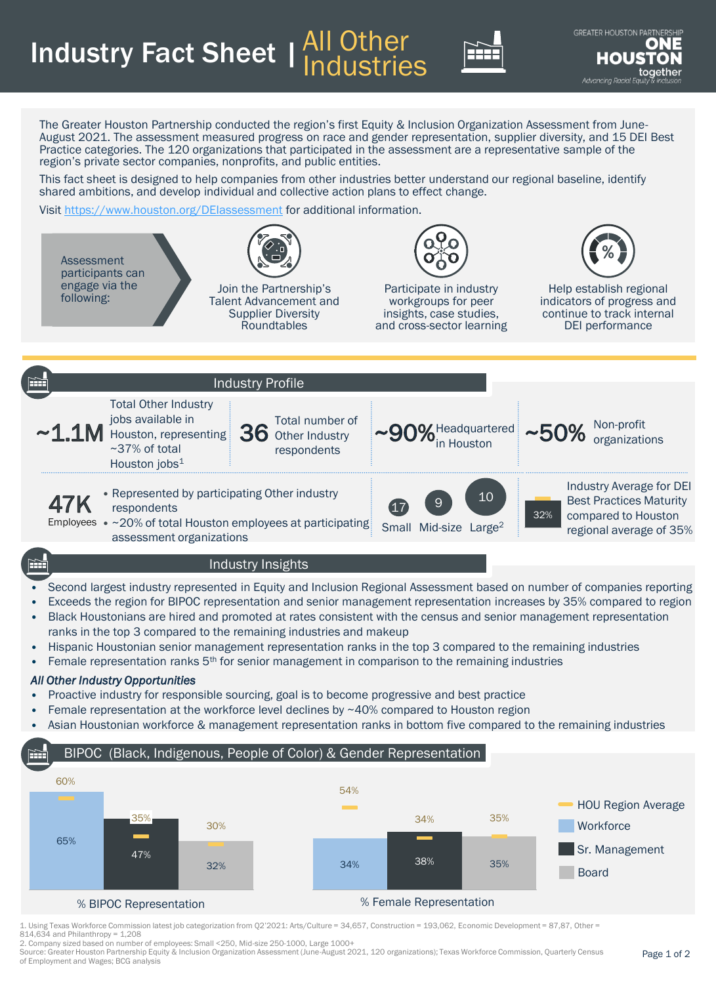**Industry Fact Sheet | All Other** Industries



The Greater Houston Partnership conducted the region's first Equity & Inclusion Organization Assessment from June-August 2021. The assessment measured progress on race and gender representation, supplier diversity, and 15 DEI Best Practice categories. The 120 organizations that participated in the assessment are a representative sample of the region's private sector companies, nonprofits, and public entities.

This fact sheet is designed to help companies from other industries better understand our regional baseline, identify shared ambitions, and develop individual and collective action plans to effect change.

Visit <https://www.houston.org/DEIassessment> for additional information.



- Exceeds the region for BIPOC representation and senior management representation increases by 35% compared to region
- Black Houstonians are hired and promoted at rates consistent with the census and senior management representation ranks in the top 3 compared to the remaining industries and makeup
- Hispanic Houstonian senior management representation ranks in the top 3 compared to the remaining industries
- Female representation ranks  $5<sup>th</sup>$  for senior management in comparison to the remaining industries

## *All Other Industry Opportunities*

- Proactive industry for responsible sourcing, goal is to become progressive and best practice
- Female representation at the workforce level declines by  $~40\%$  compared to Houston region
- Asian Houstonian workforce & management representation ranks in bottom five compared to the remaining industries

## BIPOC (Black, Indigenous, People of Color) & Gender Representation



1. Using Texas Workforce Commission latest job categorization from Q2'2021: Arts/Culture = 34,657, Construction = 193,062, Economic Development = 87,87, Other = 814,634 and Philanthropy = 1,208

2. Company sized based on number of employees: Small <250, Mid-size 250-1000, Large 1000+

Source: Greater Houston Partnership Equity & Inclusion Organization Assessment (June-August 2021, 120 organizations); Texas Workforce Commission, Quarterly Census of Employment and Wages; BCG analysis